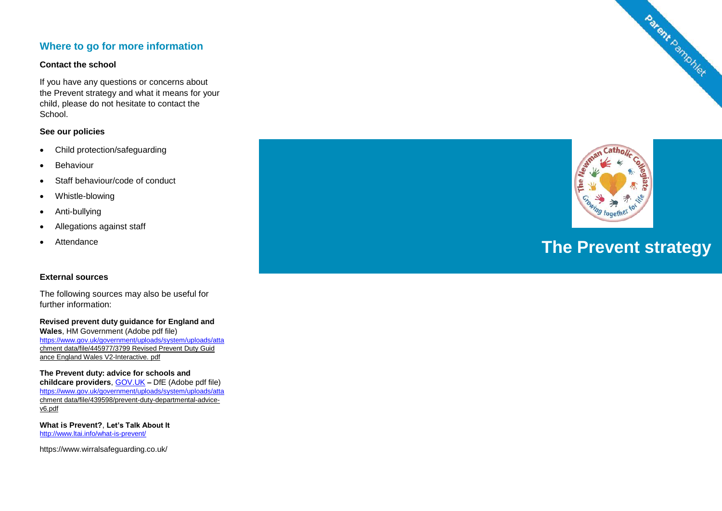## **Where to go for more information**

#### **Contact the school**

If you have any questions or concerns about the Prevent strategy and what it means for your child, please do not hesitate to contact the School .

#### **See our policies**

- Child protection/safeguarding
- Behaviour
- Staff behaviour/code of conduct
- Whistle-blowing
- Anti-bullying
- Allegations against staff
- **Attendance**

### **External sources**

The following sources may also be useful for further information:

**Revised prevent duty guidance for England and Wales**, HM Government (Adobe pdf file) <https://www.gov.uk/government/uploads/system/uploads/atta> chment data/file/445977/3799 Revised Prevent Duty Guid ance England Wales V2 -Interactive. pdf

**The Prevent duty: advice for schools and childcare providers**[, GOV.UK](http://gov.uk/) **–** DfE (Adobe pdf file) <https://www.gov.uk/government/uploads/system/uploads/atta> chment data/file/439598/prevent-duty-departmental-advicev6.pdf

**What is Prevent?**, **Let's Talk About It**  [http://www.ltai.info/what](http://www.ltai.info/what-is-prevent/)-is-prevent/

https://www.wirralsafeguarding.co.uk/





# **The Prevent strategy**